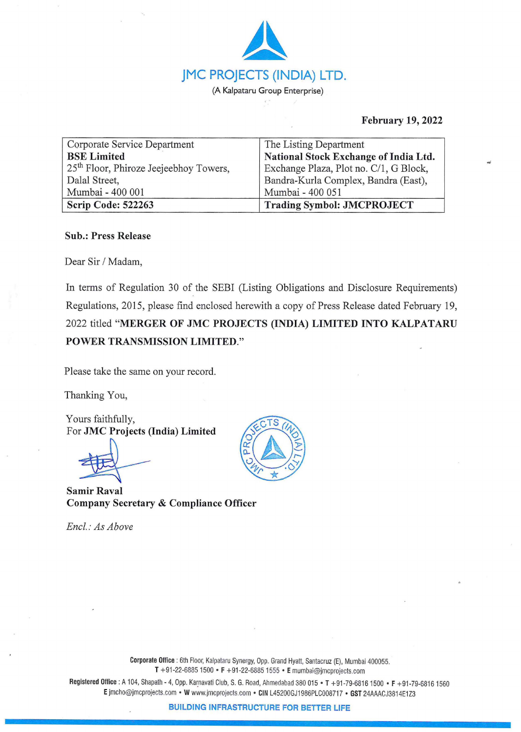

# **February 19, 2022**

| Corporate Service Department                       | The Listing Department                 |  |  |
|----------------------------------------------------|----------------------------------------|--|--|
| <b>BSE</b> Limited                                 | National Stock Exchange of India Ltd.  |  |  |
| 25 <sup>th</sup> Floor, Phiroze Jeejeebhoy Towers, | Exchange Plaza, Plot no. C/1, G Block, |  |  |
| Dalal Street,                                      | Bandra-Kurla Complex, Bandra (East),   |  |  |
| Mumbai - 400 001                                   | Mumbai - 400 051                       |  |  |
| Scrip Code: 522263                                 | <b>Trading Symbol: JMCPROJECT</b>      |  |  |

## **Sub.: Press Release**

Dear Sir/ Madam,

In terms of Regulation 30 of the SEBI (Listing Obligations and Disclosure Requirements) Regulations, 2015, please find enclosed herewith a copy of Press Release dated February 19, 2022 titled **"MERGER OF JMC PROJECTS (INDIA) LIMITED INTO KALPATARU POWER TRANSMISSION LIMITED."** 

Please take the same on your record.

Thanking You,

Yours faithfully, For **JMC Projects (India) Limited** 

**Samir Raval Company Secretary** & **Compliance Officer** 

*Encl.: As Above* 



Corporate Office : 6th Floor, Kalpataru Synergy, Opp. Grand Hyatt, Santacruz (E), Mumbai 400055. T +91-22-6885 1500 • **F** +91-22-68851555 • **E** mumbai@jmcprojects.com

Registered Office : A 104, Shapath - 4, Opp. Karnavati Club, S. G. Road, Ahmedabad 380 015 • T +91-79-6816 1500 • F +91-79-6816 1560 **E** jmcho@jmcprojects.com • **W** www.jmcprojects.com • **CIN** L4520DGJ1986PLCD08717 • **GST** 24AAACJ3814E1 Z3

**BUILDING INFRASTRUCTURE FOR BETTER LIFE**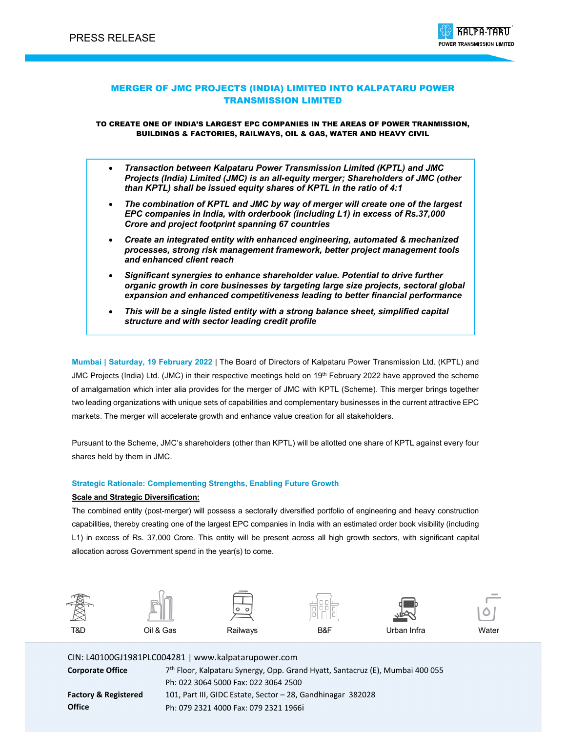

## MERGER OF JMC PROJECTS (INDIA) LIMITED INTO KALPATARU POWER TRANSMISSION LIMITED

TO CREATE ONE OF INDIA'S LARGEST EPC COMPANIES IN THE AREAS OF POWER TRANMISSION, BUILDINGS & FACTORIES, RAILWAYS, OIL & GAS, WATER AND HEAVY CIVIL

- *Transaction between Kalpataru Power Transmission Limited (KPTL) and JMC Projects (India) Limited (JMC) is an all-equity merger; Shareholders of JMC (other than KPTL) shall be issued equity shares of KPTL in the ratio of 4:1*
- *The combination of KPTL and JMC by way of merger will create one of the largest EPC companies in India, with orderbook (including L1) in excess of Rs.37,000 Crore and project footprint spanning 67 countries*
- *Create an integrated entity with enhanced engineering, automated & mechanized processes, strong risk management framework, better project management tools and enhanced client reach*
- *Significant synergies to enhance shareholder value. Potential to drive further organic growth in core businesses by targeting large size projects, sectoral global expansion and enhanced competitiveness leading to better financial performance*
- *This will be a single listed entity with a strong balance sheet, simplified capital structure and with sector leading credit profile*

**Mumbai | Saturday, 19 February 2022** | The Board of Directors of Kalpataru Power Transmission Ltd. (KPTL) and JMC Projects (India) Ltd. (JMC) in their respective meetings held on 19<sup>th</sup> February 2022 have approved the scheme of amalgamation which inter alia provides for the merger of JMC with KPTL (Scheme). This merger brings together two leading organizations with unique sets of capabilities and complementary businesses in the current attractive EPC markets. The merger will accelerate growth and enhance value creation for all stakeholders.

Pursuant to the Scheme, JMC's shareholders (other than KPTL) will be allotted one share of KPTL against every four shares held by them in JMC.

## **Strategic Rationale: Complementing Strengths, Enabling Future Growth**

### **Scale and Strategic Diversification:**

The combined entity (post-merger) will possess a sectorally diversified portfolio of engineering and heavy construction capabilities, thereby creating one of the largest EPC companies in India with an estimated order book visibility (including L1) in excess of Rs. 37,000 Crore. This entity will be present across all high growth sectors, with significant capital allocation across Government spend in the year(s) to come.



CIN: L40100GJ1981PLC004281 | www.kalpatarupower.com **Corporate Office** 7th Floor, Kalpataru Synergy, Opp. Grand Hyatt, Santacruz (E), Mumbai 400 055

|                                 | Ph: 022 3064 5000 Fax: 022 3064 2500                        |
|---------------------------------|-------------------------------------------------------------|
| <b>Factory &amp; Registered</b> | 101, Part III, GIDC Estate, Sector - 28, Gandhinagar 382028 |
| <b>Office</b>                   | Ph: 079 2321 4000 Fax: 079 2321 1966i                       |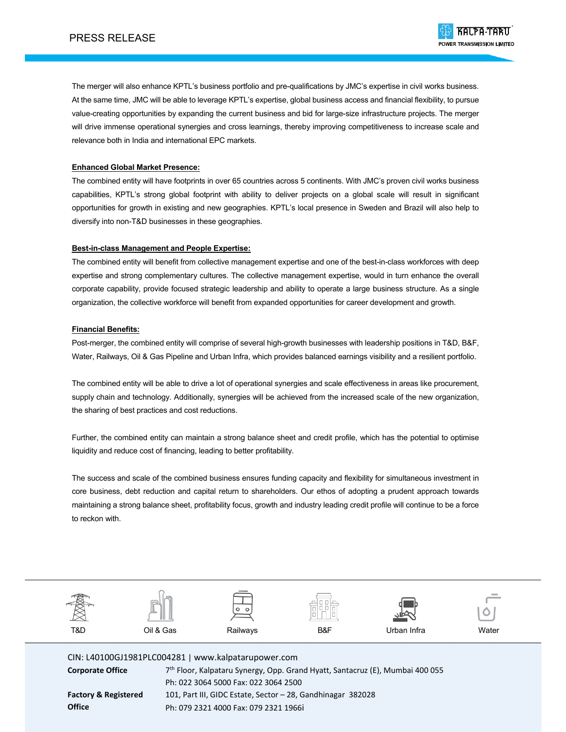The merger will also enhance KPTL's business portfolio and pre-qualifications by JMC's expertise in civil works business. At the same time, JMC will be able to leverage KPTL's expertise, global business access and financial flexibility, to pursue value-creating opportunities by expanding the current business and bid for large-size infrastructure projects. The merger will drive immense operational synergies and cross learnings, thereby improving competitiveness to increase scale and relevance both in India and international EPC markets.

## **Enhanced Global Market Presence:**

The combined entity will have footprints in over 65 countries across 5 continents. With JMC's proven civil works business capabilities, KPTL's strong global footprint with ability to deliver projects on a global scale will result in significant opportunities for growth in existing and new geographies. KPTL's local presence in Sweden and Brazil will also help to diversify into non-T&D businesses in these geographies.

## **Best-in-class Management and People Expertise:**

The combined entity will benefit from collective management expertise and one of the best-in-class workforces with deep expertise and strong complementary cultures. The collective management expertise, would in turn enhance the overall corporate capability, provide focused strategic leadership and ability to operate a large business structure. As a single organization, the collective workforce will benefit from expanded opportunities for career development and growth.

## **Financial Benefits:**

Post-merger, the combined entity will comprise of several high-growth businesses with leadership positions in T&D, B&F, Water, Railways, Oil & Gas Pipeline and Urban Infra, which provides balanced earnings visibility and a resilient portfolio.

The combined entity will be able to drive a lot of operational synergies and scale effectiveness in areas like procurement, supply chain and technology. Additionally, synergies will be achieved from the increased scale of the new organization, the sharing of best practices and cost reductions.

Further, the combined entity can maintain a strong balance sheet and credit profile, which has the potential to optimise liquidity and reduce cost of financing, leading to better profitability.

The success and scale of the combined business ensures funding capacity and flexibility for simultaneous investment in core business, debt reduction and capital return to shareholders. Our ethos of adopting a prudent approach towards maintaining a strong balance sheet, profitability focus, growth and industry leading credit profile will continue to be a force to reckon with.



CIN: L40100GJ1981PLC004281 | www.kalpatarupower.com **Corporate Office** 7th Floor, Kalpataru Synergy, Opp. Grand Hyatt, Santacruz (E), Mumbai 400 055 Ph: 022 3064 5000 Fax: 022 3064 2500 **Factory & Registered Office** 101, Part III, GIDC Estate, Sector – 28, Gandhinagar 382028 Ph: 079 2321 4000 Fax: 079 2321 1966i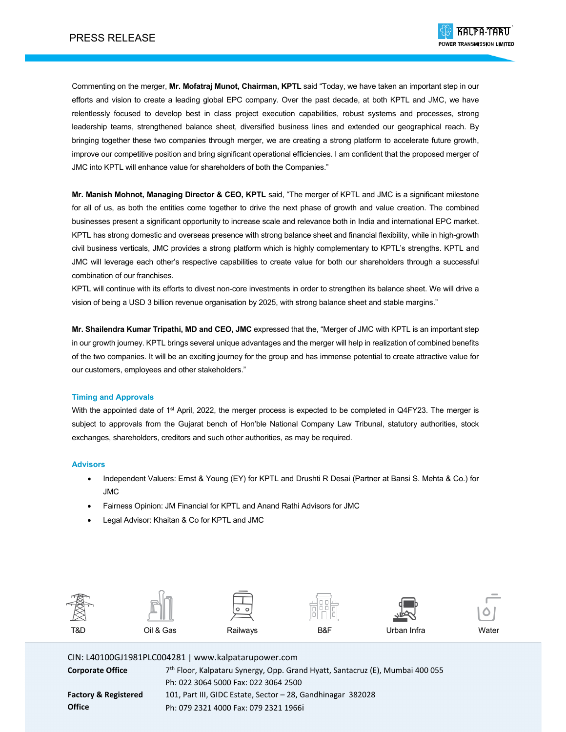Commenting on the merger, **Mr. Mofatraj Munot, Chairman, KPTL** said "Today, we have taken an important step in our efforts and vision to create a leading global EPC company. Over the past decade, at both KPTL and JMC, we have relentlessly focused to develop best in class project execution capabilities, robust systems and processes, strong leadership teams, strengthened balance sheet, diversified business lines and extended our geographical reach. By bringing together these two companies through merger, we are creating a strong platform to accelerate future growth, improve our competitive position and bring significant operational efficiencies. I am confident that the proposed merger of JMC into KPTL will enhance value for shareholders of both the Companies."

**Mr. Manish Mohnot, Managing Director & CEO, KPTL** said, "The merger of KPTL and JMC is a significant milestone for all of us, as both the entities come together to drive the next phase of growth and value creation. The combined businesses present a significant opportunity to increase scale and relevance both in India and international EPC market. KPTL has strong domestic and overseas presence with strong balance sheet and financial flexibility, while in high-growth civil business verticals, JMC provides a strong platform which is highly complementary to KPTL's strengths. KPTL and JMC will leverage each other's respective capabilities to create value for both our shareholders through a successful combination of our franchises.

KPTL will continue with its efforts to divest non-core investments in order to strengthen its balance sheet. We will drive a vision of being a USD 3 billion revenue organisation by 2025, with strong balance sheet and stable margins."

**Mr. Shailendra Kumar Tripathi, MD and CEO, JMC** expressed that the, "Merger of JMC with KPTL is an important step in our growth journey. KPTL brings several unique advantages and the merger will help in realization of combined benefits of the two companies. It will be an exciting journey for the group and has immense potential to create attractive value for our customers, employees and other stakeholders."

### **Timing and Approvals**

With the appointed date of 1<sup>st</sup> April, 2022, the merger process is expected to be completed in Q4FY23. The merger is subject to approvals from the Gujarat bench of Hon'ble National Company Law Tribunal, statutory authorities, stock exchanges, shareholders, creditors and such other authorities, as may be required.

### **Advisors**

- Independent Valuers: Ernst & Young (EY) for KPTL and Drushti R Desai (Partner at Bansi S. Mehta & Co.) for JMC
- Fairness Opinion: JM Financial for KPTL and Anand Rathi Advisors for JMC
- Legal Advisor: Khaitan & Co for KPTL and JMC



CIN: L40100GJ1981PLC004281 | www.kalpatarupower.com

| <b>Corporate Office</b>         | 7 <sup>th</sup> Floor, Kalpataru Synergy, Opp. Grand Hyatt, Santacruz (E), Mumbai 400 055 |
|---------------------------------|-------------------------------------------------------------------------------------------|
|                                 | Ph: 022 3064 5000 Fax: 022 3064 2500                                                      |
| <b>Factory &amp; Registered</b> | 101, Part III, GIDC Estate, Sector - 28, Gandhinagar 382028                               |
| <b>Office</b>                   | Ph: 079 2321 4000 Fax: 079 2321 1966i                                                     |
|                                 |                                                                                           |